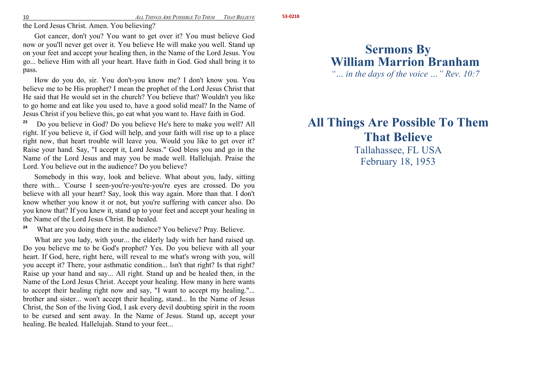the Lord Jesus Christ. Amen. You believing?

Got cancer, don't you? You want to get over it? You must believe God now or you'll never get over it. You believe He will make you well. Stand up on your feet and accept your healing then, in the Name of the Lord Jesus. You go... believe Him with all your heart. Have faith in God. God shall bring it to pass.

How do you do, sir. You don't-you know me? I don't know you. You believe me to be His prophet? I mean the prophet of the Lord Jesus Christ that He said that He would set in the church? You believe that? Wouldn't you like to go home and eat like you used to, have a good solid meal? In the Name of Jesus Christ if you believe this, go eat what you want to. Have faith in God.

**23** Do you believe in God? Do you believe He's here to make you well? All right. If you believe it, if God will help, and your faith will rise up to a place right now, that heart trouble will leave you. Would you like to get over it? Raise your hand. Say, "I accept it, Lord Jesus." God bless you and go in the Name of the Lord Jesus and may you be made well. Hallelujah. Praise the Lord. You believe out in the audience? Do you believe?

Somebody in this way, look and believe. What about you, lady, sitting there with... 'Course I seen-you're-you're-you're eyes are crossed. Do you believe with all your heart? Say, look this way again. More than that. I don't know whether you know it or not, but you're suffering with cancer also. Do you know that? If you knew it, stand up to your feet and accept your healing in the Name of the Lord Jesus Christ. Be healed.

**24**What are you doing there in the audience? You believe? Pray. Believe.

What are you lady, with your... the elderly lady with her hand raised up. Do you believe me to be God's prophet? Yes. Do you believe with all your heart. If God, here, right here, will reveal to me what's wrong with you, will you accept it? There, your asthmatic condition... Isn't that right? Is that right? Raise up your hand and say... All right. Stand up and be healed then, in the Name of the Lord Jesus Christ. Accept your healing. How many in here wants to accept their healing right now and say, "I want to accept my healing."... brother and sister... won't accept their healing, stand... In the Name of Jesus Christ, the Son of the living God, I ask every devil doubting spirit in the room to be cursed and sent away. In the Name of Jesus. Stand up, accept your healing. Be healed. Hallelujah. Stand to your feet...

# **Sermons By William Marrion Branham**

*"… in the days of the voice …" Rev. 10:7* 

## **All Things Are Possible To Them That Believe** Tallahassee, FL USA

February 18, 1953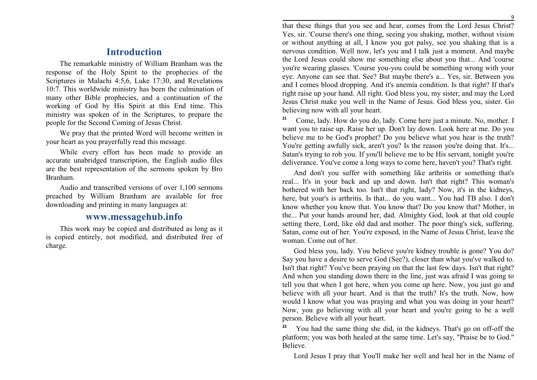#### **Introduction**

The remarkable ministry of William Branham was the response of the Holy Spirit to the prophecies of the Scriptures in Malachi 4:5,6, Luke 17:30, and Revelations 10:7. This worldwide ministry has been the culmination of many other Bible prophecies, and a continuation of the working of God by His Spirit at this End time. This ministry was spoken of in the Scriptures, to prepare the people for the Second Coming of Jesus Christ.

We pray that the printed Word will become written in your heart as you prayerfully read this message.

While every effort has been made to provide an accurate unabridged transcription, the English audio files are the best representation of the sermons spoken by Bro Branham.

Audio and transcribed versions of over 1,100 sermons preached by William Branham are available for free downloading and printing in many languages at:

### **www.messagehub.info**

This work may be copied and distributed as long as it is copied entirely, not modified, and distributed free of charge.

 that these things that you see and hear, comes from the Lord Jesus Christ? Yes, sir. 'Course there's one thing, seeing you shaking, mother, without vision or without anything at all, I know you got palsy, see you shaking that is a nervous condition. Well now, let's you and I talk just a moment. And maybe the Lord Jesus could show me something else about you that... And 'course you're wearing glasses. 'Course you-you could be something wrong with your eye. Anyone can see that. See? But maybe there's a... Yes, sir. Between you and I comes blood dropping. And it's anemia condition. Is that right? If that's right raise up your hand. All right. God bless you, my sister, and may the Lord Jesus Christ make you well in the Name of Jesus. God bless you, sister. Go believing now with all your heart.

**21** Come, lady. How do you do, lady. Come here just a minute. No, mother. I want you to raise up. Raise her up. Don't lay down. Look here at me. Do you believe me to be God's prophet? Do you believe what you hear is the truth? You're getting awfully sick, aren't you? Is the reason you're doing that. It's... Satan's trying to rob you. If you'll believe me to be His servant, tonight you're deliverance. You've come a long ways to come here, haven't you? That's right.

And don't you suffer with something like arthritis or something that's real... It's in your back and up and down. Isn't that right? This woman's bothered with her back too. Isn't that right, lady? Now, it's in the kidneys, here, but your's is arthritis. Is that... do you want... You had TB also. I don't know whether you know that. You know that? Do you know that? Mother, in the... Put your hands around her, dad. Almighty God, look at that old couple setting there, Lord, like old dad and mother. The poor thing's sick, suffering. Satan, come out of her. You're exposed, in the Name of Jesus Christ, leave the woman. Come out of her.

God bless you, lady. You believe you're kidney trouble is gone? You do? Say you have a desire to serve God (See?), closer than what you've walked to. Isn't that right? You've been praying on that the last few days. Isn't that right? And when you standing down there in the line, just was afraid I was going to tell you that when I got here, when you come up here. Now, you just go and believe with all your heart. And is that the truth? It's the truth. Now, how would I know what you was praying and what you was doing in your heart? Now, you go believing with all your heart and you're going to be a well person. Believe with all your heart.

**22** You had the same thing she did, in the kidneys. That's go on off-off the platform; you was both healed at the same time. Let's say, "Praise be to God." Believe.

Lord Jesus I pray that You'll make her well and heal her in the Name of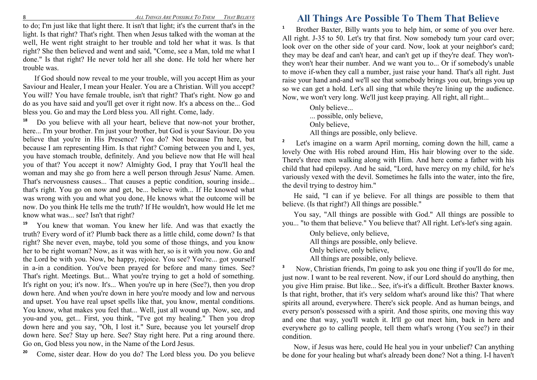to do; I'm just like that light there. It isn't that light; it's the current that's in the light. Is that right? That's right. Then when Jesus talked with the woman at the well, He went right straight to her trouble and told her what it was. Is that right? She then believed and went and said, "Come, see a Man, told me what I done." Is that right? He never told her all she done. He told her where her trouble was.

If God should now reveal to me your trouble, will you accept Him as your Saviour and Healer, I mean your Healer. You are a Christian. Will you accept? You will? You have female trouble, isn't that right? That's right. Now go and do as you have said and you'll get over it right now. It's a abcess on the... God bless you. Go and may the Lord bless you. All right. Come, lady.

**18** Do you believe with all your heart, believe that now-not your brother, here... I'm your brother. I'm just your brother, but God is your Saviour. Do you believe that you're in His Presence? You do? Not because I'm here, but because I am representing Him. Is that right? Coming between you and I, yes, you have stomach trouble, definitely. And you believe now that He will heal you of that? You accept it now? Almighty God, I pray that You'll heal the woman and may she go from here a well person through Jesus' Name. Amen. That's nervousness causes... That causes a peptic condition, souring inside... that's right. You go on now and get, be... believe with... If He knowed what was wrong with you and what you done, He knows what the outcome will be now. Do you think He tells me the truth? If He wouldn't, how would He let me know what was... see? Isn't that right?

**19** You knew that woman. You knew her life. And was that exactly the truth? Every word of it? Plumb back there as a little child, come down? Is that right? She never even, maybe, told you some of those things, and you know her to be right woman? Now, as it was with her, so is it with you now. Go and the Lord be with you. Now, be happy, rejoice. You see? You're... got yourself in a-in a condition. You've been prayed for before and many times. See? That's right. Meetings. But... What you're trying to get a hold of something. It's right on you; it's now. It's... When you're up in here (See?), then you drop down here. And when you're down in here you're moody and low and nervous and upset. You have real upset spells like that, you know, mental conditions. You know, what makes you feel that... Well, just all wound up. Now, see, and you-and you, get... First, you think, "I've got my healing." Then you drop down here and you say, "Oh, I lost it." Sure, because you let yourself drop down here. See? Stay up here. See? Stay right here. Put a ring around there. Go on, God bless you now, in the Name of the Lord Jesus.

**20**Come, sister dear. How do you do? The Lord bless you. Do you believe

### **All Things Are Possible To Them That Believe**

**1** Brother Baxter, Billy wants you to help him, or some of you over here. All right. J-35 to 50. Let's try that first. Now somebody turn your card over; look over on the other side of your card. Now, look at your neighbor's card; they may be deaf and can't hear, and can't get up if they're deaf. They won'tthey won't hear their number. And we want you to... Or if somebody's unable to move if-when they call a number, just raise your hand. That's all right. Just raise your hand and-and we'll see that somebody brings you out, brings you up so we can get a hold. Let's all sing that while they're lining up the audience. Now, we won't very long. We'll just keep praying. All right, all right...

> Only believe... ... possible, only believe, Only believe, All things are possible, only believe.

**2** Let's imagine on a warm April morning, coming down the hill, came a lovely One with His robed around Him, His hair blowing over to the side. There's three men walking along with Him. And here come a father with his child that had epilepsy. And he said, "Lord, have mercy on my child, for he's variously vexed with the devil. Sometimes he falls into the water, into the fire, the devil trying to destroy him."

He said, "I can if ye believe. For all things are possible to them that believe. (Is that right?) All things are possible."

 You say, "All things are possible with God." All things are possible to you... "to them that believe." You believe that? All right. Let's-let's sing again.

> Only believe, only believe, All things are possible, only believe. Only believe, only believe, All things are possible, only believe.

**3** Now, Christian friends, I'm going to ask you one thing if you'll do for me, just now. I want to be real reverent. Now, if our Lord should do anything, then you give Him praise. But like... See, it's-it's a difficult. Brother Baxter knows. Is that right, brother, that it's very seldom what's around like this? That where spirits all around, everywhere. There's sick people. And as human beings, and every person's possessed with a spirit. And those spirits, one moving this way and one that way, you'll watch it. It'll go out meet him, back in here and everywhere go to calling people, tell them what's wrong (You see?) in their condition.

Now, if Jesus was here, could He heal you in your unbelief? Can anything be done for your healing but what's already been done? Not a thing. I-I haven't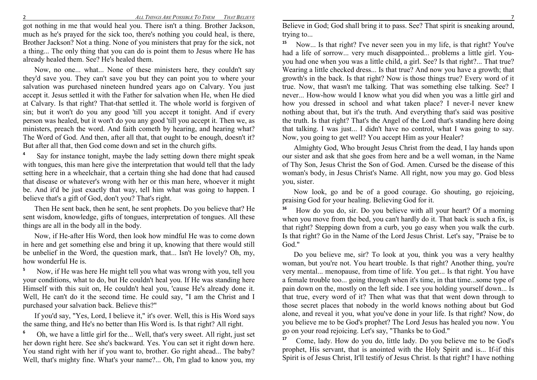got nothing in me that would heal you. There isn't a thing. Brother Jackson, much as he's prayed for the sick too, there's nothing you could heal, is there, Brother Jackson? Not a thing. None of you ministers that pray for the sick, not a thing... The only thing that you can do is point them to Jesus where He has already healed them. See? He's healed them.

Now, no one... what... None of these ministers here, they couldn't say they'd save you. They can't save you but they can point you to where your salvation was purchased nineteen hundred years ago on Calvary. You just accept it. Jesus settled it with the Father for salvation when He, when He died at Calvary. Is that right? That-that settled it. The whole world is forgiven of sin; but it won't do you any good 'till you accept it tonight. And if every person was healed, but it won't do you any good 'till you accept it. Then we, as ministers, preach the word. And faith cometh by hearing, and hearing what? The Word of God. And then, after all that, that ought to be enough, doesn't it? But after all that, then God come down and set in the church gifts.

**4** Say for instance tonight, maybe the lady setting down there might speak with tongues, this man here give the interpretation that would tell that the lady setting here in a wheelchair, that a certain thing she had done that had caused that disease or whatever's wrong with her or this man here, whoever it might be. And it'd be just exactly that way, tell him what was going to happen. I believe that's a gift of God, don't you? That's right.

Then He sent back, then he sent, he sent prophets. Do you believe that? He sent wisdom, knowledge, gifts of tongues, interpretation of tongues. All these things are all in the body all in the body.

Now, if He-after His Word, then look how mindful He was to come down in here and get something else and bring it up, knowing that there would still be unbelief in the Word, the question mark, that... Isn't He lovely? Oh, my, how wonderful He is.

**5** Now, if He was here He might tell you what was wrong with you, tell you your conditions, what to do, but He couldn't heal you. If He was standing here Himself with this suit on, He couldn't heal you, 'cause He's already done it. Well, He can't do it the second time. He could say, "I am the Christ and I purchased your salvation back. Believe this?"

If you'd say, "Yes, Lord, I believe it," it's over. Well, this is His Word says the same thing, and He's no better than His Word is. Is that right? All right.

**6** Oh, we have a little girl for the... Well, that's very sweet. All right, just set her down right here. See she's backward. Yes. You can set it right down here. You stand right with her if you want to, brother. Go right ahead... The baby? Well, that's mighty fine. What's your name?... Oh, I'm glad to know you, my

Believe in God; God shall bring it to pass. See? That spirit is sneaking around, trying to...

**15** Now... Is that right? I've never seen you in my life, is that right? You've had a life of sorrow... very much disappointed... problems a little girl. Youyou had one when you was a little child, a girl. See? Is that right?... That true? Wearing a little checked dress... Is that true? And now you have a growth; that growth's in the back. Is that right? Now is those things true? Every word of it true. Now, that wasn't me talking. That was something else talking. See? I never... How-how would I know what you did when you was a little girl and how you dressed in school and what taken place? I never-I never knew nothing about that, but it's the truth. And everything that's said was positive the truth. Is that right? That's the Angel of the Lord that's standing here doing that talking. I was just... I didn't have no control, what I was going to say. Now, you going to get well? You accept Him as your Healer?

Almighty God, Who brought Jesus Christ from the dead, I lay hands upon our sister and ask that she goes from here and be a well woman, in the Name of Thy Son, Jesus Christ the Son of God. Amen. Cursed be the disease of this woman's body, in Jesus Christ's Name. All right, now you may go. God bless you, sister.

Now look, go and be of a good courage. Go shouting, go rejoicing, praising God for your healing. Believing God for it.

**16** How do you do, sir. Do you believe with all your heart? Of a morning when you move from the bed, you can't hardly do it. That back is such a fix, is that right? Stepping down from a curb, you go easy when you walk the curb. Is that right? Go in the Name of the Lord Jesus Christ. Let's say, "Praise be to God."

Do you believe me, sir? To look at you, think you was a very healthy woman, but you're not. You heart trouble. Is that right? Another thing, you're very mental... menopause, from time of life. You get... Is that right. You have a female trouble too... going through when it's time, in that time...some type of pain down on the, mostly on the left side. I see you holding yourself down... Is that true, every word of it? Then what was that that went down through to those secret places that nobody in the world knows nothing about but God alone, and reveal it you, what you've done in your life. Is that right? Now, do you believe me to be God's prophet? The Lord Jesus has healed you now. You go on your road rejoicing. Let's say, "Thanks be to God."

**17** Come, lady. How do you do, little lady. Do you believe me to be God's prophet, His servant, that is anointed with the Holy Spirit and is... If-if this Spirit is of Jesus Christ, It'll testify of Jesus Christ. Is that right? I have nothing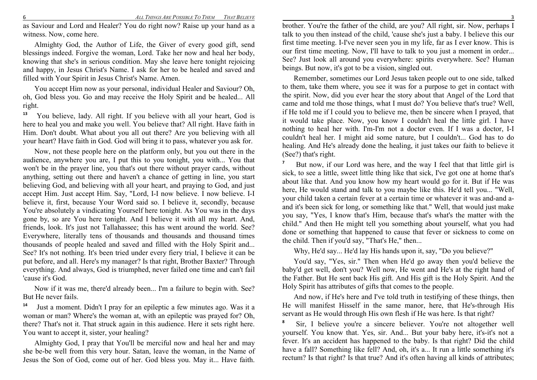as Saviour and Lord and Healer? You do right now? Raise up your hand as a witness. Now, come here.

Almighty God, the Author of Life, the Giver of every good gift, send blessings indeed. Forgive the woman, Lord. Take her now and heal her body, knowing that she's in serious condition. May she leave here tonight rejoicing and happy, in Jesus Christ's Name. I ask for her to be healed and saved and filled with Your Spirit in Jesus Christ's Name. Amen.

You accept Him now as your personal, individual Healer and Saviour? Oh, oh, God bless you. Go and may receive the Holy Spirit and be healed... All right.

**13** You believe, lady. All right. If you believe with all your heart, God is here to heal you and make you well. You believe that? All right. Have faith in Him. Don't doubt. What about you all out there? Are you believing with all your heart? Have faith in God. God will bring it to pass, whatever you ask for.

Now, not these people here on the platform only, but you out there in the audience, anywhere you are, I put this to you tonight, you with... You that won't be in the prayer line, you that's out there without prayer cards, without anything, setting out there and haven't a chance of getting in line, you start believing God, and believing with all your heart, and praying to God, and just accept Him. Just accept Him. Say, "Lord, I-I now believe. I now believe. I-I believe it, first, because Your Word said so. I believe it, secondly, because You're absolutely a vindicating Yourself here tonight. As You was in the days gone by, so are You here tonight. And I believe it with all my heart. And, friends, look. It's just not Tallahassee; this has went around the world. See? Everywhere, literally tens of thousands and thousands and thousand times thousands of people healed and saved and filled with the Holy Spirit and... See? It's not nothing. It's been tried under every fiery trial, I believe it can be put before, and all. Here's my manager? Is that right, Brother Baxter? Through everything. And always, God is triumphed, never failed one time and can't fail 'cause it's God.

Now if it was me, there'd already been... I'm a failure to begin with. See? But He never fails.

**14** Just a moment. Didn't I pray for an epileptic a few minutes ago. Was it a woman or man? Where's the woman at, with an epileptic was prayed for? Oh, there? That's not it. That struck again in this audience. Here it sets right here. You want to accept it, sister, your healing?

Almighty God, I pray that You'll be merciful now and heal her and may she be-be well from this very hour. Satan, leave the woman, in the Name of Jesus the Son of God, come out of her. God bless you. May it... Have faith.

 brother. You're the father of the child, are you? All right, sir. Now, perhaps I talk to you then instead of the child, 'cause she's just a baby. I believe this our first time meeting. I-I've never seen you in my life, far as I ever know. This is our first time meeting. Now, I'll have to talk to you just a moment in order... See? Just look all around you everywhere: spirits everywhere. See? Human beings. But now, it's got to be a vision, singled out.

Remember, sometimes our Lord Jesus taken people out to one side, talked to them, take them where, you see it was for a purpose to get in contact with the spirit. Now, did you ever hear the story about that Angel of the Lord that came and told me those things, what I must do? You believe that's true? Well, if He told me if I could you to believe me, then be sincere when I prayed, that it would take place. Now, you know I couldn't heal the little girl. I have nothing to heal her with. I'm-I'm not a doctor even. If I was a doctor, I-I couldn't heal her. I might aid some nature, but I couldn't... God has to do healing. And He's already done the healing, it just takes our faith to believe it (See?) that's right.

**7** But now, if our Lord was here, and the way I feel that that little girl is sick, to see a little, sweet little thing like that sick, I've got one at home that's about like that. And you know how my heart would go for it. But if He was here, He would stand and talk to you maybe like this. He'd tell you... "Well, your child taken a certain fever at a certain time or whatever it was and-and aand it's been sick for long, or something like that." Well, that would just make you say, "Yes, I know that's Him, because that's what's the matter with the child." And then He might tell you something about yourself, what you had done or something that happened to cause that fever or sickness to come on the child. Then if you'd say, "That's He," then...

Why, He'd say... He'd lay His hands upon it, say, "Do you believe?"

You'd say, "Yes, sir." Then when He'd go away then you'd believe the baby'd get well, don't you? Well now, He went and He's at the right hand of the Father. But He sent back His gift. And His gift is the Holy Spirit. And the Holy Spirit has attributes of gifts that comes to the people.

And now, if He's here and I've told truth in testifying of these things, then He will manifest Hisself in the same manor, here, that He's-through His servant as He would through His own flesh if He was here. Is that right?

**8** Sir, I believe you're a sincere believer. You're not altogether well yourself. You know that. Yes, sir. And... But your baby here, it's-it's not a fever. It's an accident has happened to the baby. Is that right? Did the child have a fall? Something like fell? And, oh, it's a... It run a little something it's rectum? Is that right? Is that true? And it's often having all kinds of attributes;